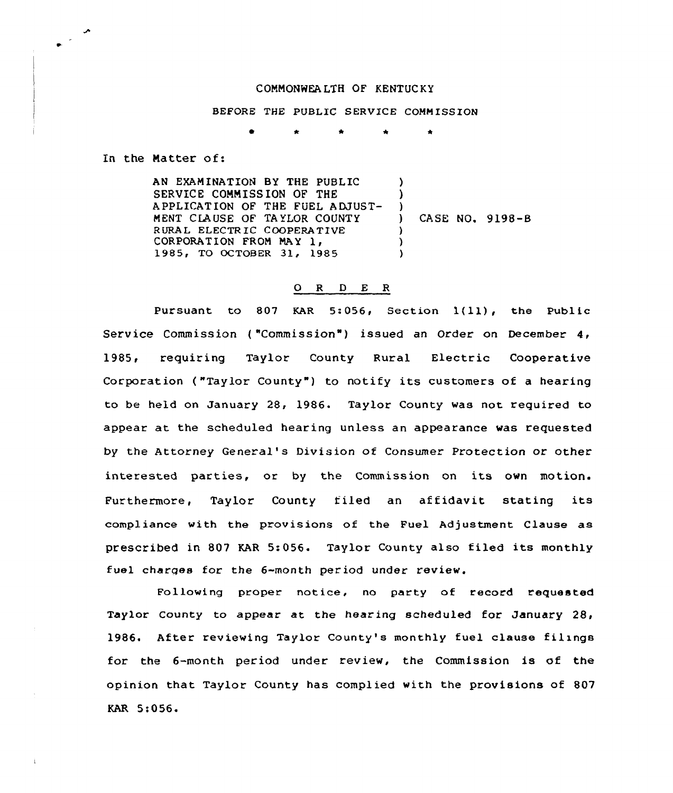## COMMONWEALTH OF KENTUCKY

BEFORE THE PUBLIC SERVICE COMMISSION

In the Matter of:

AN EXAMINATION BY THE PUBLIC SERVICE COMMISS ION OF THE APPLICATION OF THE FUEL ADJUST-MENT CLAUSE OF TAYLOR COUNTY RURAL ELECTRIC COOPERATIVE CORPORATION FROM MAY 1, 1985, TO OCTOBER 31, 1985 ) )  $)$ ) CASE NO. 9198-8  $\lambda$ ) )

## 0 <sup>R</sup> <sup>D</sup> E R

Pursuant to <sup>807</sup> KAR 5:056, Section 1{11), the Public Service Commission ("Commission") issued an Order on December 4, 1985, requiring Taylor County Rural Electric Cooperative Corporation ("Taylor County") to notify its customers of a hearing to be held on January 28, 1986. Taylor County was not required to appear at the scheduled hearing unless an appearance was requested by the Attorney General's Division of Consumer Protection or other interested parties, or by the Commission on its own motion. Furthermore, Taylor County filed an affidavit stating its compliance with the provisions of the Fuel Adjustment Clause as prescribed in 807 KAR 5:056. Taylor County also filed its monthly fuel charges for the 6-month period under review.

Following proper notice, no party of record requested Taylor County to appear at the hearing scheduled for January 28, 1986. After reviewing Taylor County's monthly fuel clause filings for the 6-month period under review, the Commission is of the opinion that Taylor County has complied with the provisions of 807 KAR 5:056.